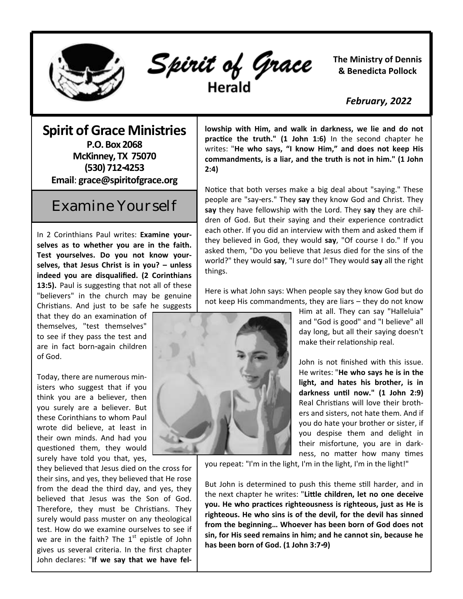

Spirit of Grace

**The Ministry of Dennis & Benedicta Pollock**

 *February, 2022*

## **Spirit of Grace Ministries P.O. Box 2068**

**McKinney, TX 75070 (530) 712-4253 Email**: **grace@spiritofgrace.org**

## Examine Yourself

In 2 Corinthians Paul writes: **Examine yourselves as to whether you are in the faith. Test yourselves. Do you not know yourselves, that Jesus Christ is in you? – unless indeed you are disqualified. (2 Corinthians 13:5).** Paul is suggesting that not all of these "believers" in the church may be genuine Christians. And just to be safe he suggests

that they do an examination of themselves, "test themselves" to see if they pass the test and are in fact born-again children of God.

Today, there are numerous ministers who suggest that if you think you are a believer, then you surely are a believer. But these Corinthians to whom Paul wrote did believe, at least in their own minds. And had you questioned them, they would surely have told you that, yes,

they believed that Jesus died on the cross for their sins, and yes, they believed that He rose from the dead the third day, and yes, they believed that Jesus was the Son of God. Therefore, they must be Christians. They surely would pass muster on any theological test. How do we examine ourselves to see if we are in the faith? The  $1<sup>st</sup>$  epistle of John gives us several criteria. In the first chapter John declares: "**If we say that we have fel-** **lowship with Him, and walk in darkness, we lie and do not practice the truth." (1 John 1:6)** In the second chapter he writes: "**He who says, "I know Him," and does not keep His commandments, is a liar, and the truth is not in him." (1 John 2:4)**

Notice that both verses make a big deal about "saying." These people are "say-ers." They **say** they know God and Christ. They **say** they have fellowship with the Lord. They **say** they are children of God. But their saying and their experience contradict each other. If you did an interview with them and asked them if they believed in God, they would **say**, "Of course I do." If you asked them, "Do you believe that Jesus died for the sins of the world?" they would **say**, "I sure do!" They would **say** all the right things.

Here is what John says: When people say they know God but do not keep His commandments, they are liars – they do not know



Him at all. They can say "Halleluia" and "God is good" and "I believe" all day long, but all their saying doesn't make their relationship real.

John is not finished with this issue. He writes: "**He who says he is in the light, and hates his brother, is in darkness until now." (1 John 2:9)**  Real Christians will love their brothers and sisters, not hate them. And if you do hate your brother or sister, if you despise them and delight in their misfortune, you are in darkness, no matter how many times

you repeat: "I'm in the light, I'm in the light, I'm in the light!"

the next chapter he writes: "Little children, let no one deceive pout the who practices righteousness is righteous, just as the is righteous. He who sins is of the devil, for the devil has sinned from the beginning... Whoever has been born of God does not sin, for His seed remains in him; and he cannot sin, because he  $\mathcal{L}$ But John is determined to push this theme still harder, and in **you. He who practices righteousness is righteous, just as He is has been born of God. (1 John 3:7-9)**